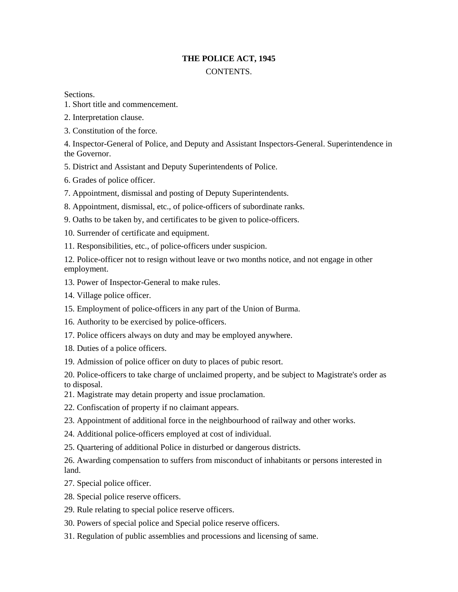# **THE POLICE ACT, 1945**

## **CONTENTS**

## Sections.

- 1. Short title and commencement.
- 2. Interpretation clause.
- 3. Constitution of the force.

4. Inspector-General of Police, and Deputy and Assistant Inspectors-General. Superintendence in the Governor.

5. District and Assistant and Deputy Superintendents of Police.

6. Grades of police officer.

- 7. Appointment, dismissal and posting of Deputy Superintendents.
- 8. Appointment, dismissal, etc., of police-officers of subordinate ranks.
- 9. Oaths to be taken by, and certificates to be given to police-officers.
- 10. Surrender of certificate and equipment.
- 11. Responsibilities, etc., of police-officers under suspicion.

12. Police-officer not to resign without leave or two months notice, and not engage in other employment.

- 13. Power of Inspector-General to make rules.
- 14. Village police officer.
- 15. Employment of police-officers in any part of the Union of Burma.
- 16. Authority to be exercised by police-officers.
- 17. Police officers always on duty and may be employed anywhere.
- 18. Duties of a police officers.
- 19. Admission of police officer on duty to places of pubic resort.

20. Police-officers to take charge of unclaimed property, and be subject to Magistrate's order as to disposal.

- 21. Magistrate may detain property and issue proclamation.
- 22. Confiscation of property if no claimant appears.
- 23. Appointment of additional force in the neighbourhood of railway and other works.
- 24. Additional police-officers employed at cost of individual.
- 25. Quartering of additional Police in disturbed or dangerous districts.

26. Awarding compensation to suffers from misconduct of inhabitants or persons interested in land.

- 27. Special police officer.
- 28. Special police reserve officers.
- 29. Rule relating to special police reserve officers.
- 30. Powers of special police and Special police reserve officers.
- 31. Regulation of public assemblies and processions and licensing of same.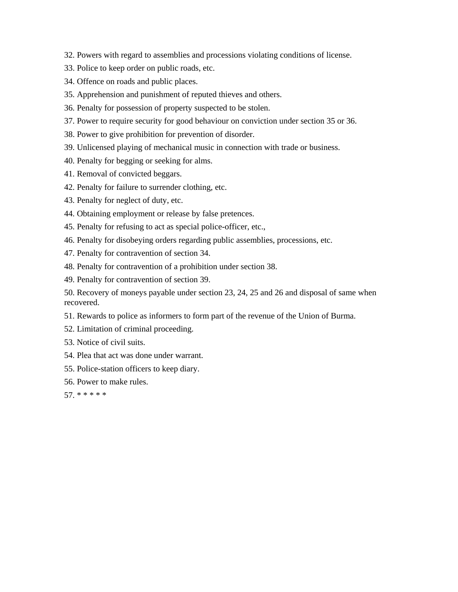- 32. Powers with regard to assemblies and processions violating conditions of license.
- 33. Police to keep order on public roads, etc.
- 34. Offence on roads and public places.
- 35. Apprehension and punishment of reputed thieves and others.
- 36. Penalty for possession of property suspected to be stolen.
- 37. Power to require security for good behaviour on conviction under section 35 or 36.
- 38. Power to give prohibition for prevention of disorder.
- 39. Unlicensed playing of mechanical music in connection with trade or business.
- 40. Penalty for begging or seeking for alms.
- 41. Removal of convicted beggars.
- 42. Penalty for failure to surrender clothing, etc.
- 43. Penalty for neglect of duty, etc.
- 44. Obtaining employment or release by false pretences.
- 45. Penalty for refusing to act as special police-officer, etc.,
- 46. Penalty for disobeying orders regarding public assemblies, processions, etc.
- 47. Penalty for contravention of section 34.
- 48. Penalty for contravention of a prohibition under section 38.
- 49. Penalty for contravention of section 39.

50. Recovery of moneys payable under section 23, 24, 25 and 26 and disposal of same when recovered.

- 51. Rewards to police as informers to form part of the revenue of the Union of Burma.
- 52. Limitation of criminal proceeding.
- 53. Notice of civil suits.
- 54. Plea that act was done under warrant.
- 55. Police-station officers to keep diary.
- 56. Power to make rules.

57. \* \* \* \* \*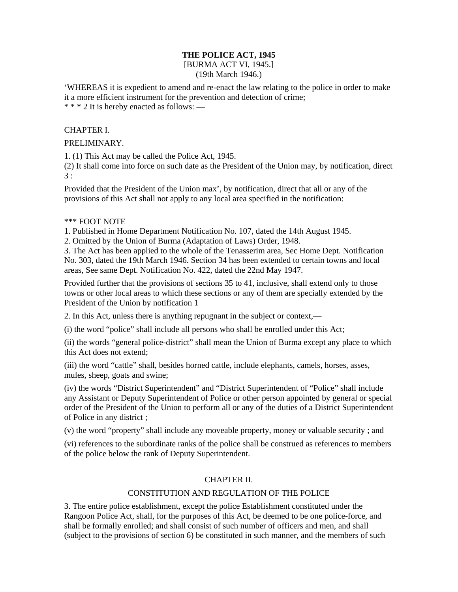## **THE POLICE ACT, 1945**

#### [BURMA ACT VI, 1945.] (19th March 1946.)

'WHEREAS it is expedient to amend and re-enact the law relating to the police in order to make it a more efficient instrument for the prevention and detection of crime; \* \* \* 2 It is hereby enacted as follows: —

#### CHAPTER I.

## PRELIMINARY.

1. (1) This Act may be called the Police Act, 1945.

(2) It shall come into force on such date as the President of the Union may, by notification, direct  $3 \cdot$ 

Provided that the President of the Union max', by notification, direct that all or any of the provisions of this Act shall not apply to any local area specified in the notification:

## \*\*\* FOOT NOTE

1. Published in Home Department Notification No. 107, dated the 14th August 1945.

2. Omitted by the Union of Burma (Adaptation of Laws) Order, 1948.

3. The Act has been applied to the whole of the Tenasserim area, Sec Home Dept. Notification No. 303, dated the 19th March 1946. Section 34 has been extended to certain towns and local areas, See same Dept. Notification No. 422, dated the 22nd May 1947.

Provided further that the provisions of sections 35 to 41, inclusive, shall extend only to those towns or other local areas to which these sections or any of them are specially extended by the President of the Union by notification 1

2. In this Act, unless there is anything repugnant in the subject or context,—

(i) the word "police" shall include all persons who shall be enrolled under this Act;

(ii) the words "general police-district" shall mean the Union of Burma except any place to which this Act does not extend;

(iii) the word "cattle" shall, besides horned cattle, include elephants, camels, horses, asses, mules, sheep, goats and swine;

(iv) the words "District Superintendent" and "District Superintendent of "Police" shall include any Assistant or Deputy Superintendent of Police or other person appointed by general or special order of the President of the Union to perform all or any of the duties of a District Superintendent of Police in any district ;

(v) the word "property" shall include any moveable property, money or valuable security ; and

(vi) references to the subordinate ranks of the police shall be construed as references to members of the police below the rank of Deputy Superintendent.

## CHAPTER II.

## CONSTITUTION AND REGULATION OF THE POLICE

3. The entire police establishment, except the police Establishment constituted under the Rangoon Police Act, shall, for the purposes of this Act, be deemed to be one police-force, and shall be formally enrolled; and shall consist of such number of officers and men, and shall (subject to the provisions of section 6) be constituted in such manner, and the members of such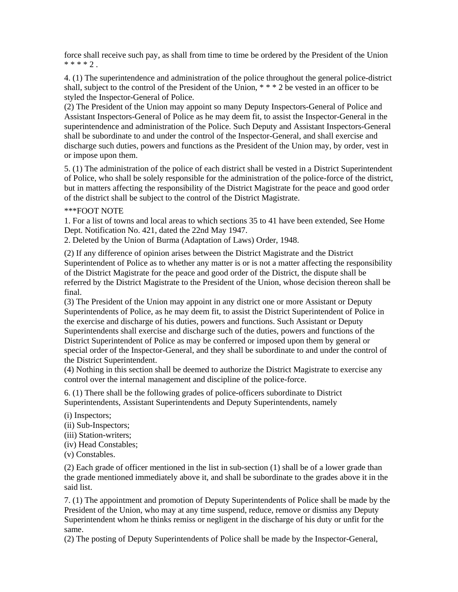force shall receive such pay, as shall from time to time be ordered by the President of the Union  $*** 2.$ 

4. (1) The superintendence and administration of the police throughout the general police-district shall, subject to the control of the President of the Union, \* \* \* 2 be vested in an officer to be styled the Inspector-General of Police.

(2) The President of the Union may appoint so many Deputy Inspectors-General of Police and Assistant Inspectors-General of Police as he may deem fit, to assist the Inspector-General in the superintendence and administration of the Police. Such Deputy and Assistant Inspectors-General shall be subordinate to and under the control of the Inspector-General, and shall exercise and discharge such duties, powers and functions as the President of the Union may, by order, vest in or impose upon them.

5. (1) The administration of the police of each district shall be vested in a District Superintendent of Police, who shall be solely responsible for the administration of the police-force of the district, but in matters affecting the responsibility of the District Magistrate for the peace and good order of the district shall be subject to the control of the District Magistrate.

#### \*\*\*FOOT NOTE

1. For a list of towns and local areas to which sections 35 to 41 have been extended, See Home Dept. Notification No. 421, dated the 22nd May 1947.

2. Deleted by the Union of Burma (Adaptation of Laws) Order, 1948.

(2) If any difference of opinion arises between the District Magistrate and the District Superintendent of Police as to whether any matter is or is not a matter affecting the responsibility of the District Magistrate for the peace and good order of the District, the dispute shall be referred by the District Magistrate to the President of the Union, whose decision thereon shall be final.

(3) The President of the Union may appoint in any district one or more Assistant or Deputy Superintendents of Police, as he may deem fit, to assist the District Superintendent of Police in the exercise and discharge of his duties, powers and functions. Such Assistant or Deputy Superintendents shall exercise and discharge such of the duties, powers and functions of the District Superintendent of Police as may be conferred or imposed upon them by general or special order of the Inspector-General, and they shall be subordinate to and under the control of the District Superintendent.

(4) Nothing in this section shall be deemed to authorize the District Magistrate to exercise any control over the internal management and discipline of the police-force.

6. (1) There shall be the following grades of police-officers subordinate to District Superintendents, Assistant Superintendents and Deputy Superintendents, namely

(i) Inspectors;

- (ii) Sub-Inspectors;
- (iii) Station-writers;
- (iv) Head Constables;
- (v) Constables.

(2) Each grade of officer mentioned in the list in sub-section (1) shall be of a lower grade than the grade mentioned immediately above it, and shall be subordinate to the grades above it in the said list.

7. (1) The appointment and promotion of Deputy Superintendents of Police shall be made by the President of the Union, who may at any time suspend, reduce, remove or dismiss any Deputy Superintendent whom he thinks remiss or negligent in the discharge of his duty or unfit for the same.

(2) The posting of Deputy Superintendents of Police shall be made by the Inspector-General,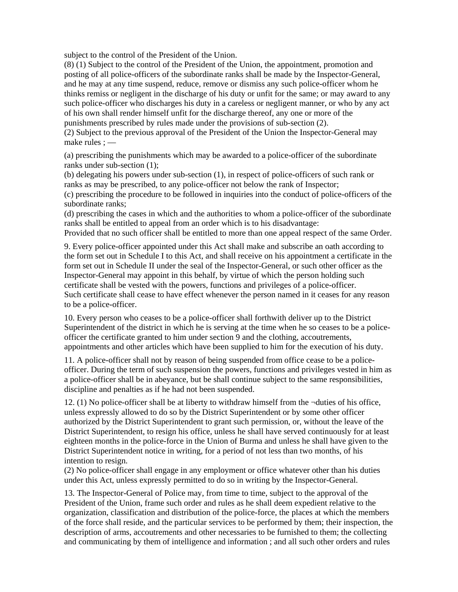subject to the control of the President of the Union.

(8) (1) Subject to the control of the President of the Union, the appointment, promotion and posting of all police-officers of the subordinate ranks shall be made by the Inspector-General, and he may at any time suspend, reduce, remove or dismiss any such police-officer whom he thinks remiss or negligent in the discharge of his duty or unfit for the same; or may award to any such police-officer who discharges his duty in a careless or negligent manner, or who by any act of his own shall render himself unfit for the discharge thereof, any one or more of the punishments prescribed by rules made under the provisions of sub-section (2).

(2) Subject to the previous approval of the President of the Union the Inspector-General may make rules ; —

(a) prescribing the punishments which may be awarded to a police-officer of the subordinate ranks under sub-section (1);

(b) delegating his powers under sub-section (1), in respect of police-officers of such rank or ranks as may be prescribed, to any police-officer not below the rank of Inspector;

(c) prescribing the procedure to be followed in inquiries into the conduct of police-officers of the subordinate ranks;

(d) prescribing the cases in which and the authorities to whom a police-officer of the subordinate ranks shall be entitled to appeal from an order which is to his disadvantage:

Provided that no such officer shall be entitled to more than one appeal respect of the same Order.

9. Every police-officer appointed under this Act shall make and subscribe an oath according to the form set out in Schedule I to this Act, and shall receive on his appointment a certificate in the form set out in Schedule II under the seal of the Inspector-General, or such other officer as the Inspector-General may appoint in this behalf, by virtue of which the person holding such certificate shall be vested with the powers, functions and privileges of a police-officer. Such certificate shall cease to have effect whenever the person named in it ceases for any reason to be a police-officer.

10. Every person who ceases to be a police-officer shall forthwith deliver up to the District Superintendent of the district in which he is serving at the time when he so ceases to be a policeofficer the certificate granted to him under section 9 and the clothing, accoutrements, appointments and other articles which have been supplied to him for the execution of his duty.

11. A police-officer shall not by reason of being suspended from office cease to be a policeofficer. During the term of such suspension the powers, functions and privileges vested in him as a police-officer shall be in abeyance, but be shall continue subject to the same responsibilities, discipline and penalties as if he had not been suspended.

12. (1) No police-officer shall be at liberty to withdraw himself from the ¬duties of his office, unless expressly allowed to do so by the District Superintendent or by some other officer authorized by the District Superintendent to grant such permission, or, without the leave of the District Superintendent, to resign his office, unless he shall have served continuously for at least eighteen months in the police-force in the Union of Burma and unless he shall have given to the District Superintendent notice in writing, for a period of not less than two months, of his intention to resign.

(2) No police-officer shall engage in any employment or office whatever other than his duties under this Act, unless expressly permitted to do so in writing by the Inspector-General.

13. The Inspector-General of Police may, from time to time, subject to the approval of the President of the Union, frame such order and rules as he shall deem expedient relative to the organization, classification and distribution of the police-force, the places at which the members of the force shall reside, and the particular services to be performed by them; their inspection, the description of arms, accoutrements and other necessaries to be furnished to them; the collecting and communicating by them of intelligence and information ; and all such other orders and rules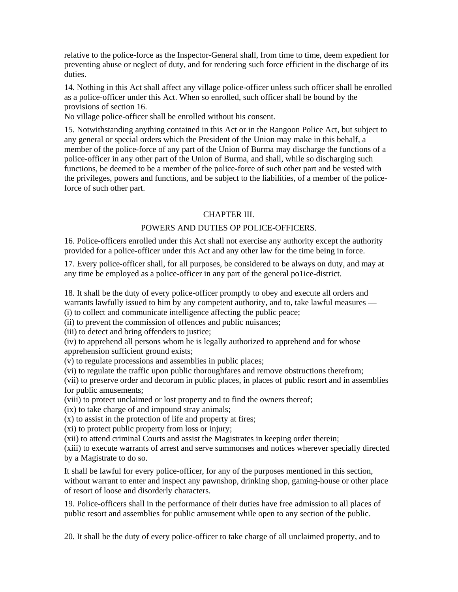relative to the police-force as the Inspector-General shall, from time to time, deem expedient for preventing abuse or neglect of duty, and for rendering such force efficient in the discharge of its duties.

14. Nothing in this Act shall affect any village police-officer unless such officer shall be enrolled as a police-officer under this Act. When so enrolled, such officer shall be bound by the provisions of section 16.

No village police-officer shall be enrolled without his consent.

15. Notwithstanding anything contained in this Act or in the Rangoon Police Act, but subject to any general or special orders which the President of the Union may make in this behalf, a member of the police-force of any part of the Union of Burma may discharge the functions of a police-officer in any other part of the Union of Burma, and shall, while so discharging such functions, be deemed to be a member of the police-force of such other part and be vested with the privileges, powers and functions, and be subject to the liabilities, of a member of the policeforce of such other part.

#### CHAPTER III.

## POWERS AND DUTIES OP POLICE-OFFICERS.

16. Police-officers enrolled under this Act shall not exercise any authority except the authority provided for a police-officer under this Act and any other law for the time being in force.

17. Every police-officer shall, for all purposes, be considered to be always on duty, and may at any time be employed as a police-officer in any part of the general po1ice-district.

18. It shall be the duty of every police-officer promptly to obey and execute all orders and warrants lawfully issued to him by any competent authority, and to, take lawful measures —

(i) to collect and communicate intelligence affecting the public peace;

(ii) to prevent the commission of offences and public nuisances;

(iii) to detect and bring offenders to justice;

(iv) to apprehend all persons whom he is legally authorized to apprehend and for whose apprehension sufficient ground exists;

(v) to regulate processions and assemblies in public places;

(vi) to regulate the traffic upon public thoroughfares and remove obstructions therefrom;

(vii) to preserve order and decorum in public places, in places of public resort and in assemblies for public amusements;

(viii) to protect unclaimed or lost property and to find the owners thereof;

(ix) to take charge of and impound stray animals;

(x) to assist in the protection of life and property at fires;

(xi) to protect public property from loss or injury;

(xii) to attend criminal Courts and assist the Magistrates in keeping order therein;

(xiii) to execute warrants of arrest and serve summonses and notices wherever specially directed by a Magistrate to do so.

It shall be lawful for every police-officer, for any of the purposes mentioned in this section, without warrant to enter and inspect any pawnshop, drinking shop, gaming-house or other place of resort of loose and disorderly characters.

19. Police-officers shall in the performance of their duties have free admission to all places of public resort and assemblies for public amusement while open to any section of the public.

20. It shall be the duty of every police-officer to take charge of all unclaimed property, and to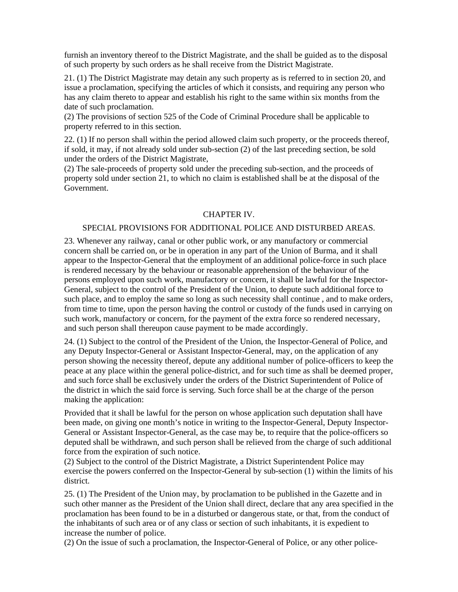furnish an inventory thereof to the District Magistrate, and the shall be guided as to the disposal of such property by such orders as he shall receive from the District Magistrate.

21. (1) The District Magistrate may detain any such property as is referred to in section 20, and issue a proclamation, specifying the articles of which it consists, and requiring any person who has any claim thereto to appear and establish his right to the same within six months from the date of such proclamation.

(2) The provisions of section 525 of the Code of Criminal Procedure shall be applicable to property referred to in this section.

22. (1) If no person shall within the period allowed claim such property, or the proceeds thereof, if sold, it may, if not already sold under sub-section (2) of the last preceding section, be sold under the orders of the District Magistrate,

(2) The sale-proceeds of property sold under the preceding sub-section, and the proceeds of property sold under section 21, to which no claim is established shall be at the disposal of the Government.

#### CHAPTER IV.

#### SPECIAL PROVISIONS FOR ADDITIONAL POLICE AND DISTURBED AREAS.

23. Whenever any railway, canal or other public work, or any manufactory or commercial concern shall be carried on, or be in operation in any part of the Union of Burma, and it shall appear to the Inspector-General that the employment of an additional police-force in such place is rendered necessary by the behaviour or reasonable apprehension of the behaviour of the persons employed upon such work, manufactory or concern, it shall be lawful for the Inspector-General, subject to the control of the President of the Union, to depute such additional force to such place, and to employ the same so long as such necessity shall continue , and to make orders, from time to time, upon the person having the control or custody of the funds used in carrying on such work, manufactory or concern, for the payment of the extra force so rendered necessary, and such person shall thereupon cause payment to be made accordingly.

24. (1) Subject to the control of the President of the Union, the Inspector-General of Police, and any Deputy Inspector-General or Assistant Inspector-General, may, on the application of any person showing the necessity thereof, depute any additional number of police-officers to keep the peace at any place within the general police-district, and for such time as shall be deemed proper, and such force shall be exclusively under the orders of the District Superintendent of Police of the district in which the said force is serving. Such force shall be at the charge of the person making the application:

Provided that it shall be lawful for the person on whose application such deputation shall have been made, on giving one month's notice in writing to the Inspector-General, Deputy Inspector-General or Assistant Inspector-General, as the case may be, to require that the police-officers so deputed shall be withdrawn, and such person shall be relieved from the charge of such additional force from the expiration of such notice.

(2) Subject to the control of the District Magistrate, a District Superintendent Police may exercise the powers conferred on the Inspector-General by sub-section (1) within the limits of his district.

25. (1) The President of the Union may, by proclamation to be published in the Gazette and in such other manner as the President of the Union shall direct, declare that any area specified in the proclamation has been found to be in a disturbed or dangerous state, or that, from the conduct of the inhabitants of such area or of any class or section of such inhabitants, it is expedient to increase the number of police.

(2) On the issue of such a proclamation, the Inspector-General of Police, or any other police-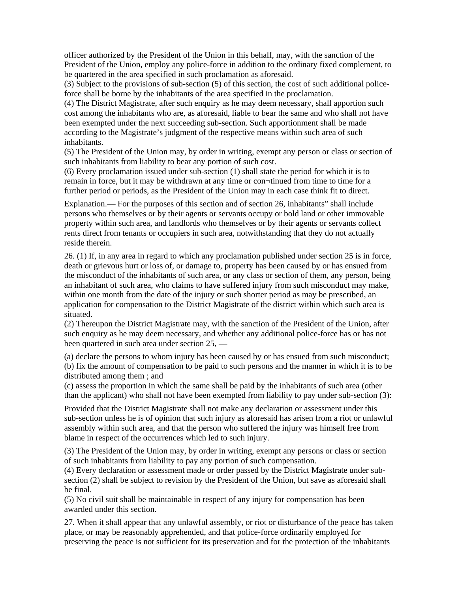officer authorized by the President of the Union in this behalf, may, with the sanction of the President of the Union, employ any police-force in addition to the ordinary fixed complement, to be quartered in the area specified in such proclamation as aforesaid.

(3) Subject to the provisions of sub-section (5) of this section, the cost of such additional policeforce shall be borne by the inhabitants of the area specified in the proclamation.

(4) The District Magistrate, after such enquiry as he may deem necessary, shall apportion such cost among the inhabitants who are, as aforesaid, liable to bear the same and who shall not have been exempted under the next succeeding sub-section. Such apportionment shall be made according to the Magistrate's judgment of the respective means within such area of such inhabitants.

(5) The President of the Union may, by order in writing, exempt any person or class or section of such inhabitants from liability to bear any portion of such cost.

(6) Every proclamation issued under sub-section (1) shall state the period for which it is to remain in force, but it may be withdrawn at any time or con¬tinued from time to time for a further period or periods, as the President of the Union may in each case think fit to direct.

Explanation.— For the purposes of this section and of section 26, inhabitants" shall include persons who themselves or by their agents or servants occupy or bold land or other immovable property within such area, and landlords who themselves or by their agents or servants collect rents direct from tenants or occupiers in such area, notwithstanding that they do not actually reside therein.

26. (1) If, in any area in regard to which any proclamation published under section 25 is in force, death or grievous hurt or loss of, or damage to, property has been caused by or has ensued from the misconduct of the inhabitants of such area, or any class or section of them, any person, being an inhabitant of such area, who claims to have suffered injury from such misconduct may make, within one month from the date of the injury or such shorter period as may be prescribed, an application for compensation to the District Magistrate of the district within which such area is situated.

(2) Thereupon the District Magistrate may, with the sanction of the President of the Union, after such enquiry as he may deem necessary, and whether any additional police-force has or has not been quartered in such area under section 25, —

(a) declare the persons to whom injury has been caused by or has ensued from such misconduct; (b) fix the amount of compensation to be paid to such persons and the manner in which it is to be distributed among them ; and

(c) assess the proportion in which the same shall be paid by the inhabitants of such area (other than the applicant) who shall not have been exempted from liability to pay under sub-section (3):

Provided that the District Magistrate shall not make any declaration or assessment under this sub-section unless he is of opinion that such injury as aforesaid has arisen from a riot or unlawful assembly within such area, and that the person who suffered the injury was himself free from blame in respect of the occurrences which led to such injury.

(3) The President of the Union may, by order in writing, exempt any persons or class or section of such inhabitants from liability to pay any portion of such compensation.

(4) Every declaration or assessment made or order passed by the District Magistrate under subsection (2) shall be subject to revision by the President of the Union, but save as aforesaid shall be final.

(5) No civil suit shall be maintainable in respect of any injury for compensation has been awarded under this section.

27. When it shall appear that any unlawful assembly, or riot or disturbance of the peace has taken place, or may be reasonably apprehended, and that police-force ordinarily employed for preserving the peace is not sufficient for its preservation and for the protection of the inhabitants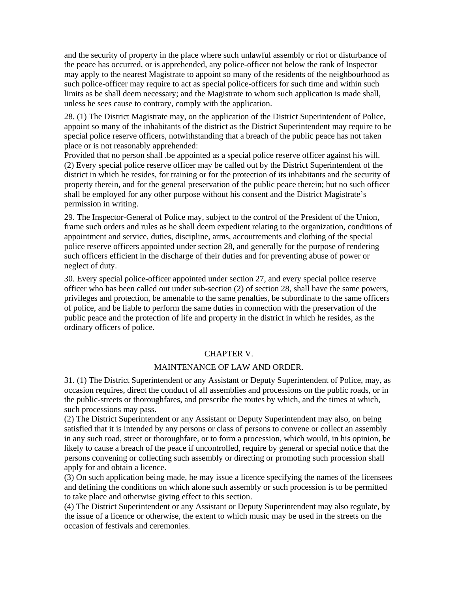and the security of property in the place where such unlawful assembly or riot or disturbance of the peace has occurred, or is apprehended, any police-officer not below the rank of Inspector may apply to the nearest Magistrate to appoint so many of the residents of the neighbourhood as such police-officer may require to act as special police-officers for such time and within such limits as be shall deem necessary; and the Magistrate to whom such application is made shall, unless he sees cause to contrary, comply with the application.

28. (1) The District Magistrate may, on the application of the District Superintendent of Police, appoint so many of the inhabitants of the district as the District Superintendent may require to be special police reserve officers, notwithstanding that a breach of the public peace has not taken place or is not reasonably apprehended:

Provided that no person shall .be appointed as a special police reserve officer against his will. (2) Every special police reserve officer may be called out by the District Superintendent of the district in which he resides, for training or for the protection of its inhabitants and the security of property therein, and for the general preservation of the public peace therein; but no such officer shall be employed for any other purpose without his consent and the District Magistrate's permission in writing.

29. The Inspector-General of Police may, subject to the control of the President of the Union, frame such orders and rules as he shall deem expedient relating to the organization, conditions of appointment and service, duties, discipline, arms, accoutrements and clothing of the special police reserve officers appointed under section 28, and generally for the purpose of rendering such officers efficient in the discharge of their duties and for preventing abuse of power or neglect of duty.

30. Every special police-officer appointed under section 27, and every special police reserve officer who has been called out under sub-section (2) of section 28, shall have the same powers, privileges and protection, be amenable to the same penalties, be subordinate to the same officers of police, and be liable to perform the same duties in connection with the preservation of the public peace and the protection of life and property in the district in which he resides, as the ordinary officers of police.

#### CHAPTER V.

#### MAINTENANCE OF LAW AND ORDER.

31. (1) The District Superintendent or any Assistant or Deputy Superintendent of Police, may, as occasion requires, direct the conduct of all assemblies and processions on the public roads, or in the public-streets or thoroughfares, and prescribe the routes by which, and the times at which, such processions may pass.

(2) The District Superintendent or any Assistant or Deputy Superintendent may also, on being satisfied that it is intended by any persons or class of persons to convene or collect an assembly in any such road, street or thoroughfare, or to form a procession, which would, in his opinion, be likely to cause a breach of the peace if uncontrolled, require by general or special notice that the persons convening or collecting such assembly or directing or promoting such procession shall apply for and obtain a licence.

(3) On such application being made, he may issue a licence specifying the names of the licensees and defining the conditions on which alone such assembly or such procession is to be permitted to take place and otherwise giving effect to this section.

(4) The District Superintendent or any Assistant or Deputy Superintendent may also regulate, by the issue of a licence or otherwise, the extent to which music may be used in the streets on the occasion of festivals and ceremonies.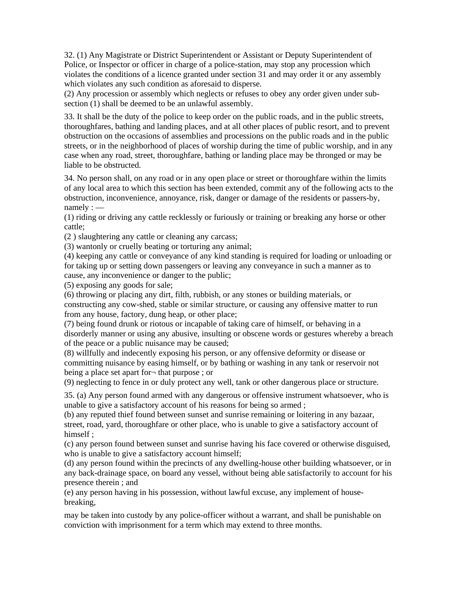32. (1) Any Magistrate or District Superintendent or Assistant or Deputy Superintendent of Police, or Inspector or officer in charge of a police-station, may stop any procession which violates the conditions of a licence granted under section 31 and may order it or any assembly which violates any such condition as aforesaid to disperse.

(2) Any procession or assembly which neglects or refuses to obey any order given under subsection (1) shall be deemed to be an unlawful assembly.

33. It shall be the duty of the police to keep order on the public roads, and in the public streets, thoroughfares, bathing and landing places, and at all other places of public resort, and to prevent obstruction on the occasions of assemblies and processions on the public roads and in the public streets, or in the neighborhood of places of worship during the time of public worship, and in any case when any road, street, thoroughfare, bathing or landing place may be thronged or may be liable to be obstructed.

34. No person shall, on any road or in any open place or street or thoroughfare within the limits of any local area to which this section has been extended, commit any of the following acts to the obstruction, inconvenience, annoyance, risk, danger or damage of the residents or passers-by, namely : —

(1) riding or driving any cattle recklessly or furiously or training or breaking any horse or other cattle;

(2 ) slaughtering any cattle or cleaning any carcass;

(3) wantonly or cruelly beating or torturing any animal;

(4) keeping any cattle or conveyance of any kind standing is required for loading or unloading or for taking up or setting down passengers or leaving any conveyance in such a manner as to cause, any inconvenience or danger to the public;

(5) exposing any goods for sale;

(6) throwing or placing any dirt, filth, rubbish, or any stones or building materials, or constructing any cow-shed, stable or similar structure, or causing any offensive matter to run from any house, factory, dung heap, or other place;

(7) being found drunk or riotous or incapable of taking care of himself, or behaving in a disorderly manner or using any abusive, insulting or obscene words or gestures whereby a breach of the peace or a public nuisance may be caused;

(8) willfully and indecently exposing his person, or any offensive deformity or disease or committing nuisance by easing himself, or by bathing or washing in any tank or reservoir not being a place set apart for¬ that purpose ; or

(9) neglecting to fence in or duly protect any well, tank or other dangerous place or structure.

35. (a) Any person found armed with any dangerous or offensive instrument whatsoever, who is unable to give a satisfactory account of his reasons for being so armed ;

(b) any reputed thief found between sunset and sunrise remaining or loitering in any bazaar, street, road, yard, thoroughfare or other place, who is unable to give a satisfactory account of himself ;

(c) any person found between sunset and sunrise having his face covered or otherwise disguised, who is unable to give a satisfactory account himself;

(d) any person found within the precincts of any dwelling-house other building whatsoever, or in any back-drainage space, on board any vessel, without being able satisfactorily to account for his presence therein ; and

(e) any person having in his possession, without lawful excuse, any implement of housebreaking,

may be taken into custody by any police-officer without a warrant, and shall be punishable on conviction with imprisonment for a term which may extend to three months.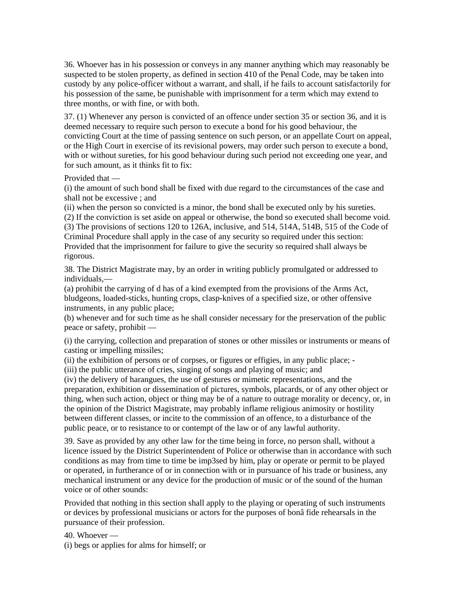36. Whoever has in his possession or conveys in any manner anything which may reasonably be suspected to be stolen property, as defined in section 410 of the Penal Code, may be taken into custody by any police-officer without a warrant, and shall, if he fails to account satisfactorily for his possession of the same, be punishable with imprisonment for a term which may extend to three months, or with fine, or with both.

37. (1) Whenever any person is convicted of an offence under section 35 or section 36, and it is deemed necessary to require such person to execute a bond for his good behaviour, the convicting Court at the time of passing sentence on such person, or an appellate Court on appeal, or the High Court in exercise of its revisional powers, may order such person to execute a bond, with or without sureties, for his good behaviour during such period not exceeding one year, and for such amount, as it thinks fit to fix:

Provided that —

(i) the amount of such bond shall be fixed with due regard to the circumstances of the case and shall not be excessive ; and

(ii) when the person so convicted is a minor, the bond shall be executed only by his sureties.

(2) If the conviction is set aside on appeal or otherwise, the bond so executed shall become void.

(3) The provisions of sections 120 to 126A, inclusive, and 514, 514A, 514B, 515 of the Code of Criminal Procedure shall apply in the case of any security so required under this section: Provided that the imprisonment for failure to give the security so required shall always be rigorous.

38. The District Magistrate may, by an order in writing publicly promulgated or addressed to individuals,—

(a) prohibit the carrying of d has of a kind exempted from the provisions of the Arms Act, bludgeons, loaded-sticks, hunting crops, clasp-knives of a specified size, or other offensive instruments, in any public place;

(b) whenever and for such time as he shall consider necessary for the preservation of the public peace or safety, prohibit —

(i) the carrying, collection and preparation of stones or other missiles or instruments or means of casting or impelling missiles;

(ii) the exhibition of persons or of corpses, or figures or effigies, in any public place; -

(iii) the public utterance of cries, singing of songs and playing of music; and

(iv) the delivery of harangues, the use of gestures or mimetic representations, and the preparation, exhibition or dissemination of pictures, symbols, placards, or of any other object or thing, when such action, object or thing may be of a nature to outrage morality or decency, or, in the opinion of the District Magistrate, may probably inflame religious animosity or hostility between different classes, or incite to the commission of an offence, to a disturbance of the public peace, or to resistance to or contempt of the law or of any lawful authority.

39. Save as provided by any other law for the time being in force, no person shall, without a licence issued by the District Superintendent of Police or otherwise than in accordance with such conditions as may from time to time be imp3sed by him, play or operate or permit to be played or operated, in furtherance of or in connection with or in pursuance of his trade or business, any mechanical instrument or any device for the production of music or of the sound of the human voice or of other sounds:

Provided that nothing in this section shall apply to the playing or operating of such instruments or devices by professional musicians or actors for the purposes of bonâ fide rehearsals in the pursuance of their profession.

40. Whoever — (i) begs or applies for alms for himself; or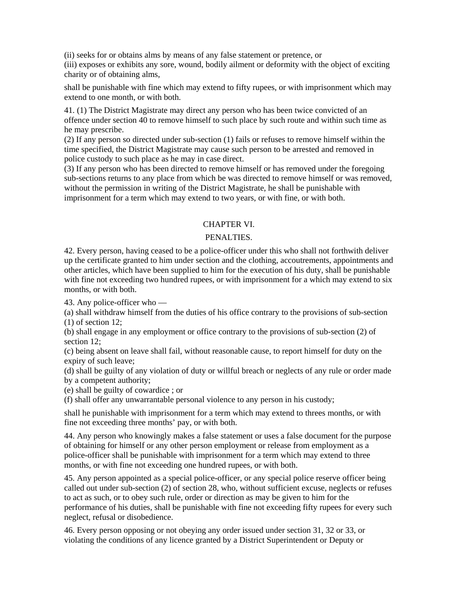(ii) seeks for or obtains alms by means of any false statement or pretence, or (iii) exposes or exhibits any sore, wound, bodily ailment or deformity with the object of exciting charity or of obtaining alms,

shall be punishable with fine which may extend to fifty rupees, or with imprisonment which may extend to one month, or with both.

41. (1) The District Magistrate may direct any person who has been twice convicted of an offence under section 40 to remove himself to such place by such route and within such time as he may prescribe.

(2) If any person so directed under sub-section (1) fails or refuses to remove himself within the time specified, the District Magistrate may cause such person to be arrested and removed in police custody to such place as he may in case direct.

(3) If any person who has been directed to remove himself or has removed under the foregoing sub-sections returns to any place from which be was directed to remove himself or was removed, without the permission in writing of the District Magistrate, he shall be punishable with imprisonment for a term which may extend to two years, or with fine, or with both.

## CHAPTER VI.

#### PENALTIES.

42. Every person, having ceased to be a police-officer under this who shall not forthwith deliver up the certificate granted to him under section and the clothing, accoutrements, appointments and other articles, which have been supplied to him for the execution of his duty, shall be punishable with fine not exceeding two hundred rupees, or with imprisonment for a which may extend to six months, or with both.

43. Any police-officer who —

(a) shall withdraw himself from the duties of his office contrary to the provisions of sub-section (1) of section 12;

(b) shall engage in any employment or office contrary to the provisions of sub-section (2) of section 12:

(c) being absent on leave shall fail, without reasonable cause, to report himself for duty on the expiry of such leave;

(d) shall be guilty of any violation of duty or willful breach or neglects of any rule or order made by a competent authority;

(e) shall be guilty of cowardice ; or

(f) shall offer any unwarrantable personal violence to any person in his custody;

shall he punishable with imprisonment for a term which may extend to threes months, or with fine not exceeding three months' pay, or with both.

44. Any person who knowingly makes a false statement or uses a false document for the purpose of obtaining for himself or any other person employment or release from employment as a police-officer shall be punishable with imprisonment for a term which may extend to three months, or with fine not exceeding one hundred rupees, or with both.

45. Any person appointed as a special police-officer, or any special police reserve officer being called out under sub-section (2) of section 28, who, without sufficient excuse, neglects or refuses to act as such, or to obey such rule, order or direction as may be given to him for the performance of his duties, shall be punishable with fine not exceeding fifty rupees for every such neglect, refusal or disobedience.

46. Every person opposing or not obeying any order issued under section 31, 32 or 33, or violating the conditions of any licence granted by a District Superintendent or Deputy or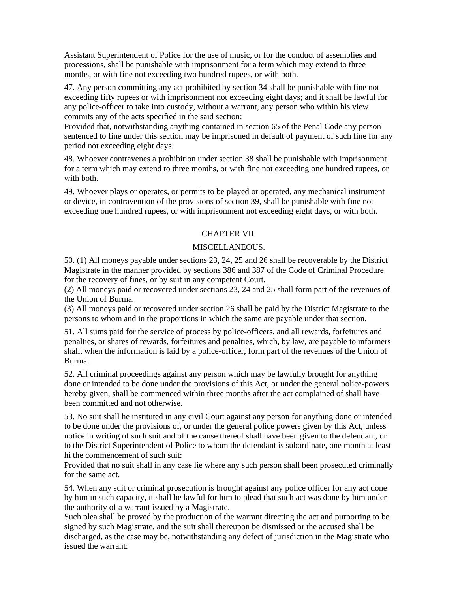Assistant Superintendent of Police for the use of music, or for the conduct of assemblies and processions, shall be punishable with imprisonment for a term which may extend to three months, or with fine not exceeding two hundred rupees, or with both.

47. Any person committing any act prohibited by section 34 shall be punishable with fine not exceeding fifty rupees or with imprisonment not exceeding eight days; and it shall be lawful for any police-officer to take into custody, without a warrant, any person who within his view commits any of the acts specified in the said section:

Provided that, notwithstanding anything contained in section 65 of the Penal Code any person sentenced to fine under this section may be imprisoned in default of payment of such fine for any period not exceeding eight days.

48. Whoever contravenes a prohibition under section 38 shall be punishable with imprisonment for a term which may extend to three months, or with fine not exceeding one hundred rupees, or with both.

49. Whoever plays or operates, or permits to be played or operated, any mechanical instrument or device, in contravention of the provisions of section 39, shall be punishable with fine not exceeding one hundred rupees, or with imprisonment not exceeding eight days, or with both.

## CHAPTER VII.

## MISCELLANEOUS.

50. (1) All moneys payable under sections 23, 24, 25 and 26 shall be recoverable by the District Magistrate in the manner provided by sections 386 and 387 of the Code of Criminal Procedure for the recovery of fines, or by suit in any competent Court.

(2) All moneys paid or recovered under sections 23, 24 and 25 shall form part of the revenues of the Union of Burma.

(3) All moneys paid or recovered under section 26 shall be paid by the District Magistrate to the persons to whom and in the proportions in which the same are payable under that section.

51. All sums paid for the service of process by police-officers, and all rewards, forfeitures and penalties, or shares of rewards, forfeitures and penalties, which, by law, are payable to informers shall, when the information is laid by a police-officer, form part of the revenues of the Union of Burma.

52. All criminal proceedings against any person which may be lawfully brought for anything done or intended to be done under the provisions of this Act, or under the general police-powers hereby given, shall be commenced within three months after the act complained of shall have been committed and not otherwise.

53. No suit shall he instituted in any civil Court against any person for anything done or intended to be done under the provisions of, or under the general police powers given by this Act, unless notice in writing of such suit and of the cause thereof shall have been given to the defendant, or to the District Superintendent of Police to whom the defendant is subordinate, one month at least hi the commencement of such suit:

Provided that no suit shall in any case lie where any such person shall been prosecuted criminally for the same act.

54. When any suit or criminal prosecution is brought against any police officer for any act done by him in such capacity, it shall be lawful for him to plead that such act was done by him under the authority of a warrant issued by a Magistrate.

Such plea shall be proved by the production of the warrant directing the act and purporting to be signed by such Magistrate, and the suit shall thereupon be dismissed or the accused shall be discharged, as the case may be, notwithstanding any defect of jurisdiction in the Magistrate who issued the warrant: